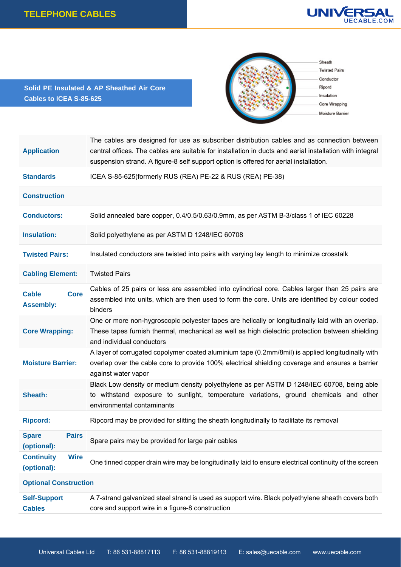

**Solid PE Insulated & AP Sheathed Air Core Cables to ICEA S-85-625** 



| <b>Application</b>                              | The cables are designed for use as subscriber distribution cables and as connection between<br>central offices. The cables are suitable for installation in ducts and aerial installation with integral<br>suspension strand. A figure-8 self support option is offered for aerial installation. |  |  |  |  |  |
|-------------------------------------------------|--------------------------------------------------------------------------------------------------------------------------------------------------------------------------------------------------------------------------------------------------------------------------------------------------|--|--|--|--|--|
| <b>Standards</b>                                | ICEA S-85-625(formerly RUS (REA) PE-22 & RUS (REA) PE-38)                                                                                                                                                                                                                                        |  |  |  |  |  |
| <b>Construction</b>                             |                                                                                                                                                                                                                                                                                                  |  |  |  |  |  |
| <b>Conductors:</b>                              | Solid annealed bare copper, 0.4/0.5/0.63/0.9mm, as per ASTM B-3/class 1 of IEC 60228                                                                                                                                                                                                             |  |  |  |  |  |
| <b>Insulation:</b>                              | Solid polyethylene as per ASTM D 1248/IEC 60708                                                                                                                                                                                                                                                  |  |  |  |  |  |
| <b>Twisted Pairs:</b>                           | Insulated conductors are twisted into pairs with varying lay length to minimize crosstalk                                                                                                                                                                                                        |  |  |  |  |  |
| <b>Cabling Element:</b>                         | <b>Twisted Pairs</b>                                                                                                                                                                                                                                                                             |  |  |  |  |  |
| <b>Cable</b><br><b>Core</b><br><b>Assembly:</b> | Cables of 25 pairs or less are assembled into cylindrical core. Cables larger than 25 pairs are<br>assembled into units, which are then used to form the core. Units are identified by colour coded<br>binders                                                                                   |  |  |  |  |  |
| <b>Core Wrapping:</b>                           | One or more non-hygroscopic polyester tapes are helically or longitudinally laid with an overlap.<br>These tapes furnish thermal, mechanical as well as high dielectric protection between shielding<br>and individual conductors                                                                |  |  |  |  |  |
| <b>Moisture Barrier:</b>                        | A layer of corrugated copolymer coated aluminium tape (0.2mm/8mil) is applied longitudinally with<br>overlap over the cable core to provide 100% electrical shielding coverage and ensures a barrier<br>against water vapor                                                                      |  |  |  |  |  |
| Sheath:                                         | Black Low density or medium density polyethylene as per ASTM D 1248/IEC 60708, being able<br>to withstand exposure to sunlight, temperature variations, ground chemicals and other<br>environmental contaminants                                                                                 |  |  |  |  |  |
| <b>Ripcord:</b>                                 | Ripcord may be provided for slitting the sheath longitudinally to facilitate its removal                                                                                                                                                                                                         |  |  |  |  |  |
| <b>Spare</b><br><b>Pairs</b><br>(optional):     | Spare pairs may be provided for large pair cables                                                                                                                                                                                                                                                |  |  |  |  |  |
| <b>Continuity</b><br><b>Wire</b><br>(optional): | One tinned copper drain wire may be longitudinally laid to ensure electrical continuity of the screen                                                                                                                                                                                            |  |  |  |  |  |
| <b>Optional Construction</b>                    |                                                                                                                                                                                                                                                                                                  |  |  |  |  |  |
| <b>Self-Support</b><br><b>Cables</b>            | A 7-strand galvanized steel strand is used as support wire. Black polyethylene sheath covers both<br>core and support wire in a figure-8 construction                                                                                                                                            |  |  |  |  |  |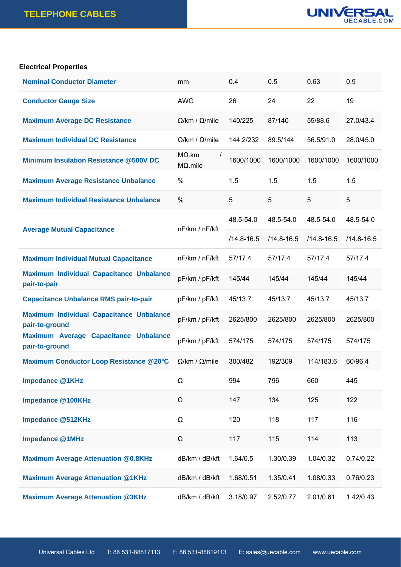

## **Electrical Properties**

| <b>Nominal Conductor Diameter</b>                                 | mm                                           | 0.4            | 0.5            | 0.63           | 0.9            |
|-------------------------------------------------------------------|----------------------------------------------|----------------|----------------|----------------|----------------|
| <b>Conductor Gauge Size</b>                                       | <b>AWG</b>                                   | 26             | 24             | 22             | 19             |
| <b>Maximum Average DC Resistance</b>                              | $\Omega$ /km / $\Omega$ /mile                | 140/225        | 87/140         | 55/88.6        | 27.0/43.4      |
| <b>Maximum Individual DC Resistance</b>                           | $\Omega$ /km / $\Omega$ /mile                | 144.2/232      | 89.5/144       | 56.5/91.0      | 28.0/45.0      |
| <b>Minimum Insulation Resistance @500V DC</b>                     | $M\Omega$ .km<br>$\prime$<br>$M\Omega$ .mile | 1600/1000      | 1600/1000      | 1600/1000      | 1600/1000      |
| <b>Maximum Average Resistance Unbalance</b>                       | $\%$                                         | 1.5            | 1.5            | 1.5            | 1.5            |
| <b>Maximum Individual Resistance Unbalance</b>                    | %                                            | 5              | 5              | 5              | 5              |
|                                                                   | nF/km / nF/kft                               | 48.5-54.0      | 48.5-54.0      | 48.5-54.0      | 48.5-54.0      |
| <b>Average Mutual Capacitance</b>                                 |                                              | $/14.8 - 16.5$ | $/14.8 - 16.5$ | $/14.8 - 16.5$ | $/14.8 - 16.5$ |
| <b>Maximum Individual Mutual Capacitance</b>                      | nF/km / nF/kft                               | 57/17.4        | 57/17.4        | 57/17.4        | 57/17.4        |
| <b>Maximum Individual Capacitance Unbalance</b><br>pair-to-pair   | pF/km / pF/kft                               | 145/44         | 145/44         | 145/44         | 145/44         |
| <b>Capacitance Unbalance RMS pair-to-pair</b>                     | pF/km / pF/kft                               | 45/13.7        | 45/13.7        | 45/13.7        | 45/13.7        |
| <b>Maximum Individual Capacitance Unbalance</b><br>pair-to-ground | pF/km / pF/kft                               | 2625/800       | 2625/800       | 2625/800       | 2625/800       |
| Maximum Average Capacitance Unbalance<br>pair-to-ground           | pF/km / pF/kft                               | 574/175        | 574/175        | 574/175        | 574/175        |
| <b>Maximum Conductor Loop Resistance @20°C</b>                    | $\Omega$ /km / $\Omega$ /mile                | 300/482        | 192/309        | 114/183.6      | 60/96.4        |
| Impedance @1KHz                                                   | Ω                                            | 994            | 796            | 660            | 445            |
| Impedance @100KHz                                                 | Ω                                            | 147            | 134            | 125            | 122            |
| <b>Impedance @512KHz</b>                                          | Ω                                            | 120            | 118            | 117            | 116            |
| <b>Impedance @1MHz</b>                                            | Ω                                            | 117            | 115            | 114            | 113            |
| <b>Maximum Average Attenuation @0.8KHz</b>                        | dB/km / dB/kft                               | 1.64/0.5       | 1.30/0.39      | 1.04/0.32      | 0.74/0.22      |
| <b>Maximum Average Attenuation @1KHz</b>                          | dB/km / dB/kft                               | 1.68/0.51      | 1.35/0.41      | 1.08/0.33      | 0.76/0.23      |
| <b>Maximum Average Attenuation @3KHz</b>                          | dB/km / dB/kft                               | 3.18/0.97      | 2.52/0.77      | 2.01/0.61      | 1.42/0.43      |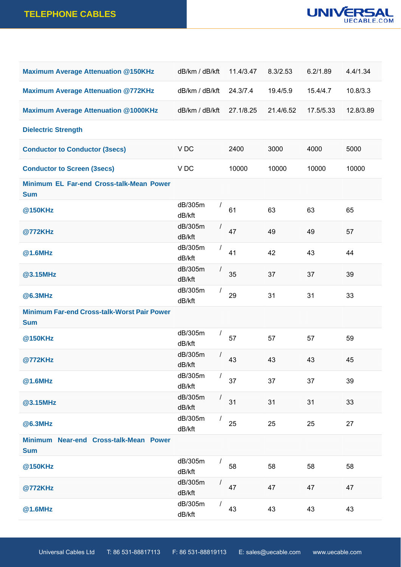

| <b>Maximum Average Attenuation @150KHz</b>                       | dB/km / dB/kft    |                | 11.4/3.47 | 8.3/2.53  | 6.2/1.89  | 4.4/1.34  |
|------------------------------------------------------------------|-------------------|----------------|-----------|-----------|-----------|-----------|
| <b>Maximum Average Attenuation @772KHz</b>                       | dB/km / dB/kft    |                | 24.3/7.4  | 19.4/5.9  | 15.4/4.7  | 10.8/3.3  |
| <b>Maximum Average Attenuation @1000KHz</b>                      | dB/km / dB/kft    |                | 27.1/8.25 | 21.4/6.52 | 17.5/5.33 | 12.8/3.89 |
| <b>Dielectric Strength</b>                                       |                   |                |           |           |           |           |
| <b>Conductor to Conductor (3secs)</b>                            | V DC              |                | 2400      | 3000      | 4000      | 5000      |
| <b>Conductor to Screen (3secs)</b>                               | V DC              |                | 10000     | 10000     | 10000     | 10000     |
| Minimum EL Far-end Cross-talk-Mean Power<br><b>Sum</b>           |                   |                |           |           |           |           |
| @150KHz                                                          | dB/305m<br>dB/kft | $\prime$       | 61        | 63        | 63        | 65        |
| @772KHz                                                          | dB/305m<br>dB/kft | $\prime$       | 47        | 49        | 49        | 57        |
| @1.6MHz                                                          | dB/305m<br>dB/kft | $\prime$       | 41        | 42        | 43        | 44        |
| @3.15MHz                                                         | dB/305m<br>dB/kft | $\overline{I}$ | 35        | 37        | 37        | 39        |
| @6.3MHz                                                          | dB/305m<br>dB/kft | $\prime$       | 29        | 31        | 31        | 33        |
| <b>Minimum Far-end Cross-talk-Worst Pair Power</b><br><b>Sum</b> |                   |                |           |           |           |           |
| @150KHz                                                          | dB/305m<br>dB/kft | $\prime$       | 57        | 57        | 57        | 59        |
| @772KHz                                                          | dB/305m<br>dB/kft | $\prime$       | 43        | 43        | 43        | 45        |
| @1.6MHz                                                          | dB/305m<br>dB/kft | $\prime$       | 37        | 37        | 37        | 39        |
| @3.15MHz                                                         | dB/305m<br>dB/kft |                | 31        | 31        | 31        | 33        |
| <b>@6.3MHz</b>                                                   | dB/305m<br>dB/kft | $\prime$       | 25        | 25        | 25        | 27        |
| Minimum Near-end Cross-talk-Mean Power<br><b>Sum</b>             |                   |                |           |           |           |           |
| @150KHz                                                          | dB/305m<br>dB/kft |                | 58        | 58        | 58        | 58        |
| @772KHz                                                          | dB/305m<br>dB/kft | $\overline{I}$ | 47        | 47        | 47        | 47        |
| @1.6MHz                                                          | dB/305m<br>dB/kft | $\prime$       | 43        | 43        | 43        | 43        |